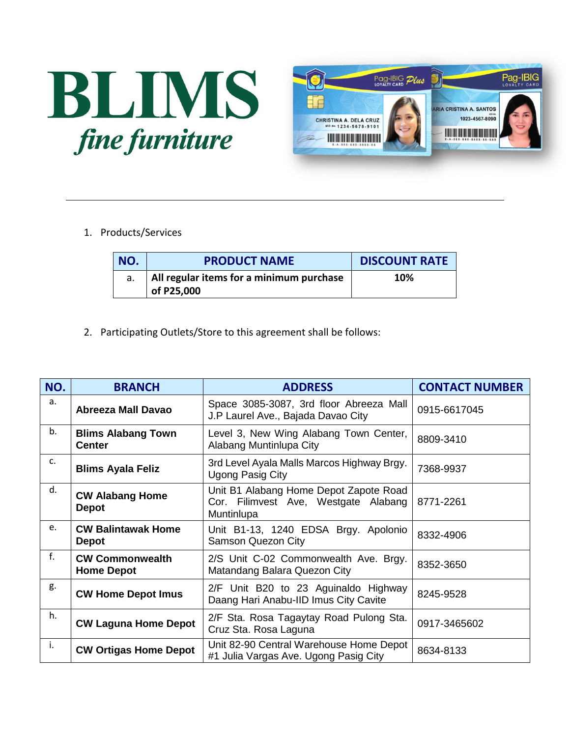



1. Products/Services

| NO. | <b>PRODUCT NAME</b>                      | <b>DISCOUNT RATE</b> |
|-----|------------------------------------------|----------------------|
|     | All regular items for a minimum purchase | 10%                  |
|     | of P25,000                               |                      |

2. Participating Outlets/Store to this agreement shall be follows:

| NO.         | <b>BRANCH</b>                               | <b>ADDRESS</b>                                                                               | <b>CONTACT NUMBER</b> |
|-------------|---------------------------------------------|----------------------------------------------------------------------------------------------|-----------------------|
| a.          | <b>Abreeza Mall Davao</b>                   | Space 3085-3087, 3rd floor Abreeza Mall<br>J.P Laurel Ave., Bajada Davao City                | 0915-6617045          |
| b.          | <b>Blims Alabang Town</b><br><b>Center</b>  | Level 3, New Wing Alabang Town Center,<br>Alabang Muntinlupa City                            | 8809-3410             |
| c.          | <b>Blims Ayala Feliz</b>                    | 3rd Level Ayala Malls Marcos Highway Brgy.<br><b>Ugong Pasig City</b>                        | 7368-9937             |
| d.          | <b>CW Alabang Home</b><br><b>Depot</b>      | Unit B1 Alabang Home Depot Zapote Road<br>Cor. Filimvest Ave, Westgate Alabang<br>Muntinlupa | 8771-2261             |
| e.          | <b>CW Balintawak Home</b><br><b>Depot</b>   | Unit B1-13, 1240 EDSA Brgy. Apolonio<br><b>Samson Quezon City</b>                            | 8332-4906             |
| $f_{\cdot}$ | <b>CW Commonwealth</b><br><b>Home Depot</b> | 2/S Unit C-02 Commonwealth Ave. Brgy.<br>Matandang Balara Quezon City                        | 8352-3650             |
| g.          | <b>CW Home Depot Imus</b>                   | 2/F Unit B20 to 23 Aguinaldo Highway<br>Daang Hari Anabu-IID Imus City Cavite                | 8245-9528             |
| h.          | <b>CW Laguna Home Depot</b>                 | 2/F Sta. Rosa Tagaytay Road Pulong Sta.<br>Cruz Sta. Rosa Laguna                             | 0917-3465602          |
| i.          | <b>CW Ortigas Home Depot</b>                | Unit 82-90 Central Warehouse Home Depot<br>#1 Julia Vargas Ave. Ugong Pasig City             | 8634-8133             |